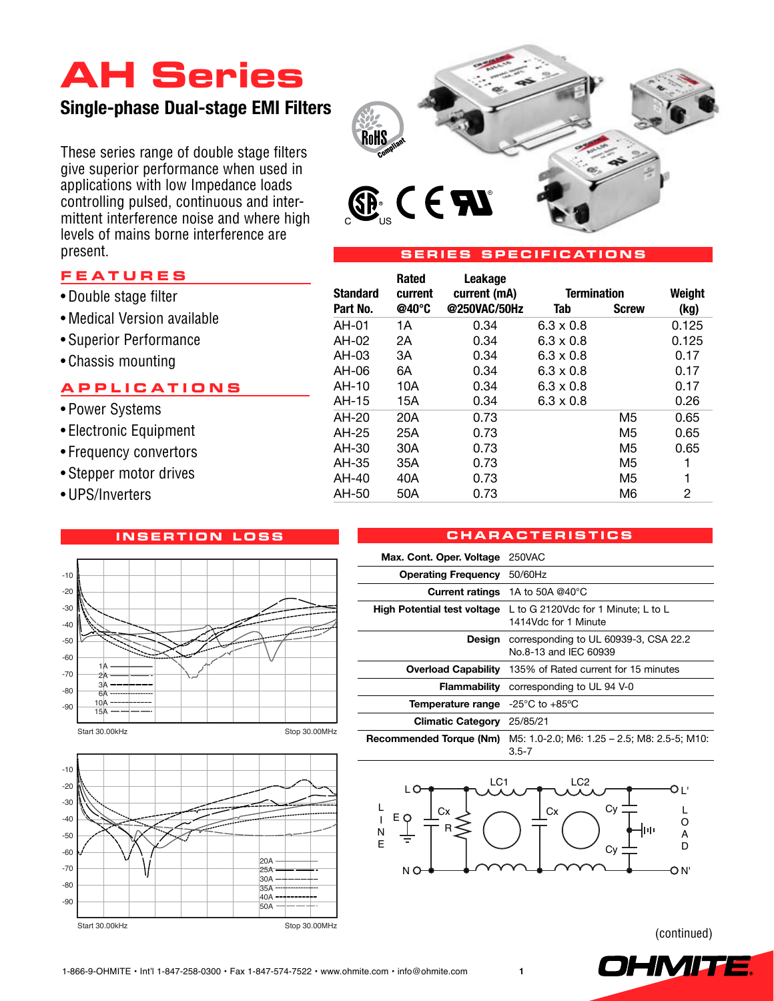# **AH Series**

# **Single-phase Dual-stage EMI Filters**

These series range of double stage filters give superior performance when used in applications with low Impedance loads controlling pulsed, continuous and intermittent interference noise and where high levels of mains borne interference are present.



# **s erie s s peci f i c ation s**

 **Rated Leakage**

# **F e a ture s**

- • Double stage filter
- Medical Version available
- • Superior Performance
- Chassis mounting

# **a pplic a tion s**

- Power Systems
- • Electronic Equipment
- Frequency convertors
- Stepper motor drives
- • UPS/Inverters

# **i n s ertion lo ss**





### **Standard current current (mA) Termination Weight Part No. @40°C @250VAC/50Hz Tab Screw (kg)** AH-01 1A 0.34 6.3 x 0.8 0.125 AH-02 2A 0.34 6.3 x 0.8 0.125 AH-03 3A 0.34 6.3 x 0.8 0.17 AH-06 6A 0.34 6.3 x 0.8 0.17 AH-10 10A 0.34 6.3 x 0.8 0.17 AH-15 15A 0.34 6.3 x 0.8 0.26 AH-20 20A 0.73 M5 0.65 AH-25 25A 0.73 M5 0.65 AH-30 30A 0.73 M5 0.65 AH-35 35A 0.73 M5 1 AH-40 40A 0.73 M5 1 AH-50 50A 0.73 M6 2

# **c ha r a cteri s tic s**

| Max. Cont. Oper. Voltage 250VAC                             |                                                                |  |  |
|-------------------------------------------------------------|----------------------------------------------------------------|--|--|
| <b>Operating Frequency</b>                                  | 50/60Hz                                                        |  |  |
|                                                             | <b>Current ratings</b> 1A to 50A @40°C                         |  |  |
| <b>High Potential test voltage</b>                          | L to G 2120Vdc for 1 Minute; L to L<br>1414Vdc for 1 Minute    |  |  |
| Design                                                      | corresponding to UL 60939-3, CSA 22.2<br>No.8-13 and IFC 60939 |  |  |
| <b>Overload Capability</b>                                  | 135% of Rated current for 15 minutes                           |  |  |
| Flammability                                                | corresponding to UL 94 V-0                                     |  |  |
| <b>Temperature range</b> $-25^{\circ}$ C to $+85^{\circ}$ C |                                                                |  |  |
| <b>Climatic Category</b>                                    | 25/85/21                                                       |  |  |
| Recommended Torque (Nm)                                     | M5: 1.0-2.0; M6: 1.25 - 2.5; M8: 2.5-5; M10:<br>$3.5 - 7$      |  |  |



(continued)